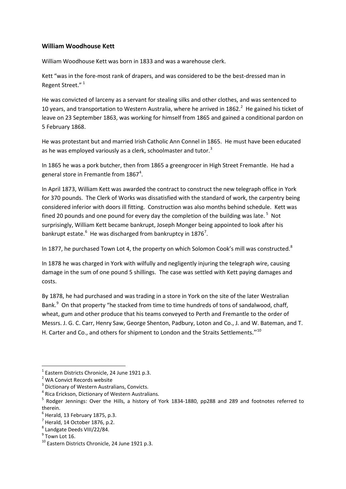## **William Woodhouse Kett**

William Woodhouse Kett was born in 1833 and was a warehouse clerk.

Kett "was in the fore-most rank of drapers, and was considered to be the best-dressed man in Regent Street."<sup>[1](#page-0-0)</sup>

He was convicted of larceny as a servant for stealing silks and other clothes, and was sentenced to 10 years, and transportation to Western Australia, where he arrived in 186[2](#page-0-1).<sup>2</sup> He gained his ticket of leave on 23 September 1863, was working for himself from 1865 and gained a conditional pardon on 5 February 1868.

He was protestant but and married Irish Catholic Ann Connel in 1865. He must have been educated as he was employed variously as a clerk, schoolmaster and tutor.<sup>[3](#page-0-2)</sup>

In 1865 he was a pork butcher, then from 1865 a greengrocer in High Street Fremantle. He had a general store in Fremantle from  $1867^4$  $1867^4$ .

In April 1873, William Kett was awarded the contract to construct the new telegraph office in York for 370 pounds. The Clerk of Works was dissatisfied with the standard of work, the carpentry being considered inferior with doors ill fitting. Construction was also months behind schedule. Kett was fined 20 pounds and one pound for every day the completion of the building was late.<sup>[5](#page-0-4)</sup> Not surprisingly, William Kett became bankrupt, Joseph Monger being appointed to look after his bankrupt estate. $^6$  $^6$  He was discharged from bankruptcy in 18[7](#page-0-6)6<sup>7</sup>.

In 1[8](#page-0-7)77, he purchased Town Lot 4, the property on which Solomon Cook's mill was constructed.<sup>8</sup>

In 1878 he was charged in York with wilfully and negligently injuring the telegraph wire, causing damage in the sum of one pound 5 shillings. The case was settled with Kett paying damages and costs.

By 1878, he had purchased and was trading in a store in York on the site of the later Westralian Bank.<sup>[9](#page-0-8)</sup> On that property "he stacked from time to time hundreds of tons of sandalwood, chaff, wheat, gum and other produce that his teams conveyed to Perth and Fremantle to the order of Messrs. J. G. C. Carr, Henry Saw, George Shenton, Padbury, Loton and Co., J. and W. Bateman, and T. H. Carter and Co., and others for shipment to London and the Straits Settlements."<sup>[10](#page-0-9)</sup>

<span id="page-0-0"></span><sup>&</sup>lt;sup>1</sup> Eastern Districts Chronicle, 24 June 1921 p.3.<br><sup>2</sup> WA Convict Records website

<span id="page-0-1"></span>

<span id="page-0-2"></span> $3$  Dictionary of Western Australians, Convicts.

<span id="page-0-3"></span><sup>4</sup> Rica Erickson, Dictionary of Western Australians.

<span id="page-0-4"></span><sup>5</sup> Rodger Jennings: Over the Hills, a history of York 1834-1880, pp288 and 289 and footnotes referred to therein.<br> $<sup>6</sup>$  Herald, 13 February 1875, p.3.<br> $<sup>7</sup>$  Herald, 14 October 1876, p.2.</sup></sup>

<span id="page-0-5"></span>

<span id="page-0-7"></span><span id="page-0-6"></span> $8$  Landgate Deeds VIII/22/84.

<span id="page-0-8"></span> $9$  Town Lot 16.

<span id="page-0-9"></span><sup>&</sup>lt;sup>10</sup> Eastern Districts Chronicle, 24 June 1921 p.3.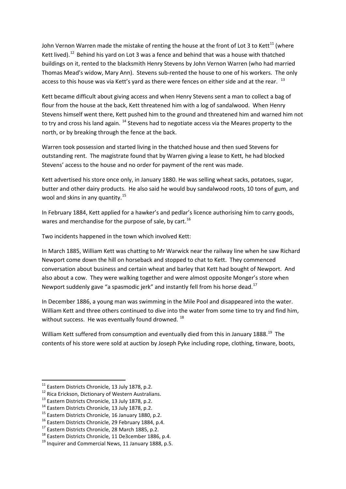John Vernon Warren made the mistake of renting the house at the front of Lot 3 to Kett<sup>[11](#page-0-2)</sup> (where Kett lived).<sup>[12](#page-1-0)</sup> Behind his yard on Lot 3 was a fence and behind that was a house with thatched buildings on it, rented to the blacksmith Henry Stevens by John Vernon Warren (who had married Thomas Mead's widow, Mary Ann). Stevens sub-rented the house to one of his workers. The only access to this house was via Kett's yard as there were fences on either side and at the rear. <sup>[13](#page-1-1)</sup>

Kett became difficult about giving access and when Henry Stevens sent a man to collect a bag of flour from the house at the back, Kett threatened him with a log of sandalwood. When Henry Stevens himself went there, Kett pushed him to the ground and threatened him and warned him not to try and cross his land again. <sup>[14](#page-1-2)</sup> Stevens had to negotiate access via the Meares property to the north, or by breaking through the fence at the back.

Warren took possession and started living in the thatched house and then sued Stevens for outstanding rent. The magistrate found that by Warren giving a lease to Kett, he had blocked Stevens' access to the house and no order for payment of the rent was made.

Kett advertised his store once only, in January 1880. He was selling wheat sacks, potatoes, sugar, butter and other dairy products. He also said he would buy sandalwood roots, 10 tons of gum, and wool and skins in any quantity.<sup>[15](#page-1-3)</sup>

In February 1884, Kett applied for a hawker's and pedlar's licence authorising him to carry goods, wares and merchandise for the purpose of sale, by cart.<sup>[16](#page-1-4)</sup>

Two incidents happened in the town which involved Kett:

In March 1885, William Kett was chatting to Mr Warwick near the railway line when he saw Richard Newport come down the hill on horseback and stopped to chat to Kett. They commenced conversation about business and certain wheat and barley that Kett had bought of Newport. And also about a cow. They were walking together and were almost opposite Monger's store when Newport suddenly gave "a spasmodic jerk" and instantly fell from his horse dead.<sup>[17](#page-1-5)</sup>

In December 1886, a young man was swimming in the Mile Pool and disappeared into the water. William Kett and three others continued to dive into the water from some time to try and find him, without success. He was eventually found drowned. <sup>[18](#page-1-6)</sup>

William Kett suffered from consumption and eventually died from this in January 1888.<sup>[19](#page-1-7)</sup> The contents of his store were sold at auction by Joseph Pyke including rope, clothing, tinware, boots,

<span id="page-1-1"></span>

<span id="page-1-2"></span>

<span id="page-1-3"></span>

<span id="page-1-4"></span>

<span id="page-1-5"></span>

<span id="page-1-7"></span><span id="page-1-6"></span>

<span id="page-1-0"></span><sup>&</sup>lt;sup>11</sup> Eastern Districts Chronicle, 13 July 1878, p.2.<br>
<sup>12</sup> Rica Erickson, Dictionary of Western Australians.<br>
<sup>13</sup> Eastern Districts Chronicle, 13 July 1878, p.2.<br>
<sup>14</sup> Eastern Districts Chronicle, 13 July 1878, p.2.<br>
<sup>15</sup>